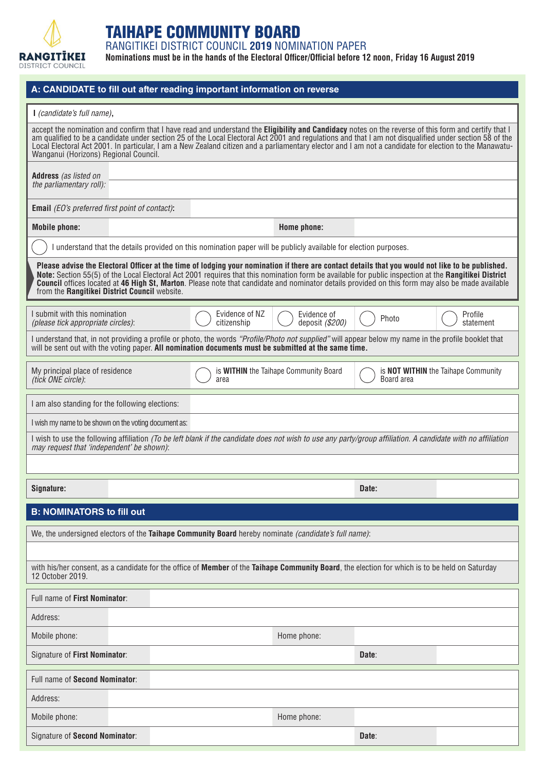

## TAIHAPE COMMUNITY BOARD

RANGITIKEI DISTRICT COUNCIL **2019** NOMINATION PAPER

**Nominations must be in the hands of the Electoral Officer/Official before 12 noon, Friday 16 August 2019**

| A: CANDIDATE to fill out after reading important information on reverse                                                                                                                                                                                                                                                                                                                                                                                                                                              |  |                                               |                                                                                                                   |                                                          |                      |  |
|----------------------------------------------------------------------------------------------------------------------------------------------------------------------------------------------------------------------------------------------------------------------------------------------------------------------------------------------------------------------------------------------------------------------------------------------------------------------------------------------------------------------|--|-----------------------------------------------|-------------------------------------------------------------------------------------------------------------------|----------------------------------------------------------|----------------------|--|
| I (candidate's full name),                                                                                                                                                                                                                                                                                                                                                                                                                                                                                           |  |                                               |                                                                                                                   |                                                          |                      |  |
| accept the nomination and confirm that I have read and understand the Eligibility and Candidacy notes on the reverse of this form and certify that I<br>am qualified to be a candidate under section 25 of the Local Electoral Act 2001 and regulations and that I am not disqualified under section 58 of the<br>Local Electoral Act 2001. In particular, I am a New Zealand citizen and a parliamentary elector and I am not a candidate for election to the Manawatu-<br>Wanganui (Horizons) Regional Council.    |  |                                               |                                                                                                                   |                                                          |                      |  |
| <b>Address</b> (as listed on<br>the parliamentary roll):                                                                                                                                                                                                                                                                                                                                                                                                                                                             |  |                                               |                                                                                                                   |                                                          |                      |  |
| <b>Email</b> (EO's preferred first point of contact):                                                                                                                                                                                                                                                                                                                                                                                                                                                                |  |                                               |                                                                                                                   |                                                          |                      |  |
| <b>Mobile phone:</b>                                                                                                                                                                                                                                                                                                                                                                                                                                                                                                 |  |                                               | Home phone:                                                                                                       |                                                          |                      |  |
|                                                                                                                                                                                                                                                                                                                                                                                                                                                                                                                      |  |                                               | I understand that the details provided on this nomination paper will be publicly available for election purposes. |                                                          |                      |  |
| Please advise the Electoral Officer at the time of lodging your nomination if there are contact details that you would not like to be published.<br>Note: Section 55(5) of the Local Electoral Act 2001 requires that this nomination form be available for public inspection at the Rangitikei District<br><b>Council</b> offices located at 46 High St, Marton. Please note that candidate and nominator details provided on this form may also be made available<br>from the Rangitikei District Council website. |  |                                               |                                                                                                                   |                                                          |                      |  |
| I submit with this nomination<br>(please tick appropriate circles):                                                                                                                                                                                                                                                                                                                                                                                                                                                  |  | Evidence of NZ<br>citizenship                 | Evidence of<br>deposit (\$200)                                                                                    | Photo                                                    | Profile<br>statement |  |
| I understand that, in not providing a profile or photo, the words "Profile/Photo not supplied" will appear below my name in the profile booklet that<br>will be sent out with the voting paper. All nomination documents must be submitted at the same time.                                                                                                                                                                                                                                                         |  |                                               |                                                                                                                   |                                                          |                      |  |
| My principal place of residence<br>(tick ONE circle):                                                                                                                                                                                                                                                                                                                                                                                                                                                                |  | is WITHIN the Taihape Community Board<br>area |                                                                                                                   | is <b>NOT WITHIN</b> the Taihape Community<br>Board area |                      |  |
| I am also standing for the following elections:                                                                                                                                                                                                                                                                                                                                                                                                                                                                      |  |                                               |                                                                                                                   |                                                          |                      |  |
| I wish my name to be shown on the voting document as:                                                                                                                                                                                                                                                                                                                                                                                                                                                                |  |                                               |                                                                                                                   |                                                          |                      |  |
| I wish to use the following affiliation (To be left blank if the candidate does not wish to use any party/group affiliation. A candidate with no affiliation<br>may request that 'independent' be shown):                                                                                                                                                                                                                                                                                                            |  |                                               |                                                                                                                   |                                                          |                      |  |
|                                                                                                                                                                                                                                                                                                                                                                                                                                                                                                                      |  |                                               |                                                                                                                   |                                                          |                      |  |
| Signature:                                                                                                                                                                                                                                                                                                                                                                                                                                                                                                           |  |                                               |                                                                                                                   | Date:                                                    |                      |  |
| <b>B: NOMINATORS to fill out</b>                                                                                                                                                                                                                                                                                                                                                                                                                                                                                     |  |                                               |                                                                                                                   |                                                          |                      |  |
| We, the undersigned electors of the Taihape Community Board hereby nominate (candidate's full name):                                                                                                                                                                                                                                                                                                                                                                                                                 |  |                                               |                                                                                                                   |                                                          |                      |  |
|                                                                                                                                                                                                                                                                                                                                                                                                                                                                                                                      |  |                                               |                                                                                                                   |                                                          |                      |  |
| with his/her consent, as a candidate for the office of Member of the Taihape Community Board, the election for which is to be held on Saturday<br>12 October 2019.                                                                                                                                                                                                                                                                                                                                                   |  |                                               |                                                                                                                   |                                                          |                      |  |
| Full name of First Nominator:                                                                                                                                                                                                                                                                                                                                                                                                                                                                                        |  |                                               |                                                                                                                   |                                                          |                      |  |
| Address:                                                                                                                                                                                                                                                                                                                                                                                                                                                                                                             |  |                                               |                                                                                                                   |                                                          |                      |  |
| Mobile phone:                                                                                                                                                                                                                                                                                                                                                                                                                                                                                                        |  |                                               | Home phone:                                                                                                       |                                                          |                      |  |
| Signature of First Nominator:                                                                                                                                                                                                                                                                                                                                                                                                                                                                                        |  |                                               |                                                                                                                   | Date:                                                    |                      |  |
| Full name of Second Nominator:                                                                                                                                                                                                                                                                                                                                                                                                                                                                                       |  |                                               |                                                                                                                   |                                                          |                      |  |
| Address:                                                                                                                                                                                                                                                                                                                                                                                                                                                                                                             |  |                                               |                                                                                                                   |                                                          |                      |  |
| Mobile phone:                                                                                                                                                                                                                                                                                                                                                                                                                                                                                                        |  |                                               | Home phone:                                                                                                       |                                                          |                      |  |
| Signature of Second Nominator:                                                                                                                                                                                                                                                                                                                                                                                                                                                                                       |  |                                               |                                                                                                                   | Date:                                                    |                      |  |